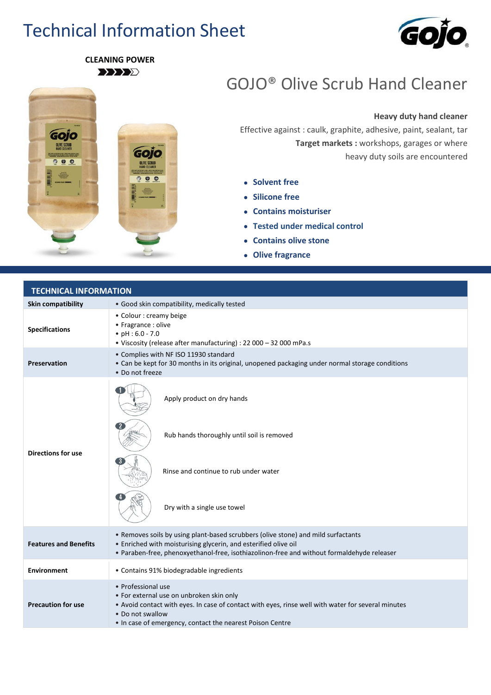## Technical Information Sheet







## GOJO® Olive Scrub Hand Cleaner

## **Heavy duty hand cleaner**

Effective against : caulk, graphite, adhesive, paint, sealant, tar **Target markets :** workshops, garages or where heavy duty soils are encountered

- **Solvent free**
- **Silicone free**
- **Contains moisturiser**
- **Tested under medical control**
- **Contains olive stone**
- **Olive fragrance**

| <b>TECHNICAL INFORMATION</b> |                                                                                                                                                                                                                                                       |  |  |
|------------------------------|-------------------------------------------------------------------------------------------------------------------------------------------------------------------------------------------------------------------------------------------------------|--|--|
| <b>Skin compatibility</b>    | · Good skin compatibility, medically tested                                                                                                                                                                                                           |  |  |
| <b>Specifications</b>        | • Colour : creamy beige<br>• Fragrance : olive<br>• $pH: 6.0 - 7.0$<br>• Viscosity (release after manufacturing) : 22 000 - 32 000 mPa.s                                                                                                              |  |  |
| <b>Preservation</b>          | • Complies with NF ISO 11930 standard<br>• Can be kept for 30 months in its original, unopened packaging under normal storage conditions<br>• Do not freeze                                                                                           |  |  |
| <b>Directions for use</b>    | Apply product on dry hands<br>Rub hands thoroughly until soil is removed                                                                                                                                                                              |  |  |
|                              | Rinse and continue to rub under water                                                                                                                                                                                                                 |  |  |
|                              | Dry with a single use towel                                                                                                                                                                                                                           |  |  |
| <b>Features and Benefits</b> | • Removes soils by using plant-based scrubbers (olive stone) and mild surfactants<br>• Enriched with moisturising glycerin, and esterified olive oil<br>. Paraben-free, phenoxyethanol-free, isothiazolinon-free and without formaldehyde releaser    |  |  |
| <b>Environment</b>           | • Contains 91% biodegradable ingredients                                                                                                                                                                                                              |  |  |
| <b>Precaution for use</b>    | • Professional use<br>• For external use on unbroken skin only<br>. Avoid contact with eyes. In case of contact with eyes, rinse well with water for several minutes<br>• Do not swallow<br>. In case of emergency, contact the nearest Poison Centre |  |  |